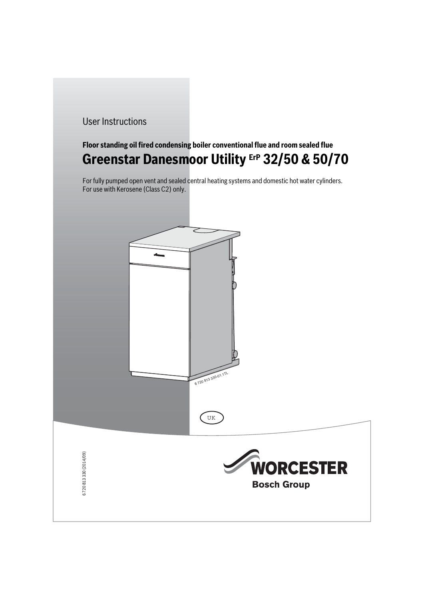## User Instructions

# **Floor standing oil fired condensing boiler conventional flue and room sealed flue Greenstar Danesmoor Utility ErP 32/50 & 50/70**

For fully pumped open vent and sealed central heating systems and domestic hot water cylinders. For use with Kerosene (Class C2) only.





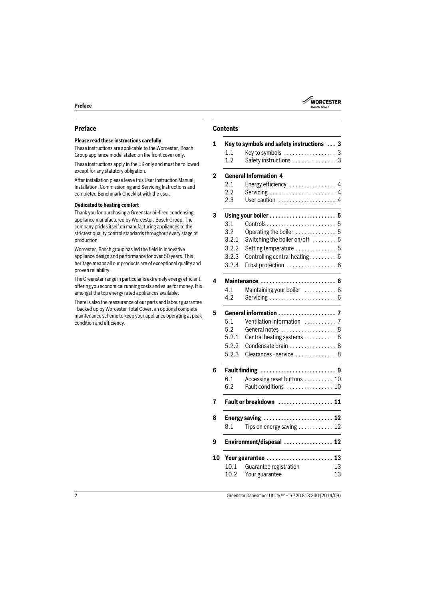

### **Preface**

### **Please read these instructions carefully**

These instructions are applicable to the Worcester, Bosch Group appliance model stated on the front cover only.

These instructions apply in the UK only and must be followed except for any statutory obligation.

After installation please leave this User instruction Manual, Installation, Commissioning and Servicing Instructions and completed Benchmark Checklist with the user.

#### **Dedicated to heating comfort**

Thank you for purchasing a Greenstar oil-fired condensing appliance manufactured by Worcester, Bosch Group. The company prides itself on manufacturing appliances to the strictest quality control standards throughout every stage of production.

Worcester, Bosch group has led the field in innovative appliance design and performance for over 50 years. This heritage means all our products are of exceptional quality and proven reliability.

The Greenstar range in particular is extremely energy efficient, offering you economical running costs and value for money. It is amongst the top energy rated appliances available.

There is also the reassurance of our parts and labour guarantee - backed up by Worcester Total Cover, an optional complete maintenance scheme to keep your appliance operating at peak condition and efficiency.

### **Contents**

| 1 |                        | Key to symbols and safety instructions  3             |                |  |
|---|------------------------|-------------------------------------------------------|----------------|--|
|   | 1.1                    | Key to symbols  3                                     |                |  |
|   | 1.2                    | Safety instructions  3                                |                |  |
|   |                        | <b>General Information 4</b>                          |                |  |
|   | 2.1                    | Energy efficiency                                     | 4              |  |
|   | 2.2                    | Servicing                                             | 4              |  |
|   | 2.3                    | User caution                                          | 4              |  |
|   | Using your boiler<br>5 |                                                       |                |  |
|   | 3.1                    |                                                       | 5              |  |
|   | 3.2                    | Operating the boiler                                  | 5              |  |
|   | 3.2.1                  | Switching the boiler on/off  5                        |                |  |
|   | 3.2.2                  | Setting temperature  5                                |                |  |
|   | 3.2.3                  | Controlling central heating                           | 6              |  |
|   | 3.2.4                  | Frost protection                                      | 6              |  |
|   |                        | Maintenance  6                                        |                |  |
|   | 4.1                    | Maintaining your boiler                               | 6              |  |
|   | 4.2                    | Servicing $\ldots \ldots \ldots \ldots \ldots \ldots$ | 6              |  |
|   |                        | General information                                   | 7              |  |
|   | 5.1                    | Ventilation information                               | $\overline{7}$ |  |
|   | 5.2                    | General notes                                         | 8              |  |
|   | 5.2.1                  | Central heating systems  8                            |                |  |
|   | 5.2.2                  | Condensate drain  8                                   |                |  |
|   | 5.2.3                  | Clearances - service  8                               |                |  |
|   | <b>Fault finding</b>   |                                                       |                |  |
|   | 6.1                    | Accessing reset buttons  10                           |                |  |
|   | 6.2                    | Fault conditions  10                                  |                |  |
|   |                        | <b>Fault or breakdown</b><br>. 11                     |                |  |
|   |                        | Energy saving  12                                     |                |  |
|   | 8.1                    | Tips on energy saving  12                             |                |  |
|   |                        | Environment/disposal  12                              |                |  |
|   |                        | Your guarantee  13                                    |                |  |
|   | 10.1                   | Guarantee registration<br>13                          |                |  |
|   | 10.2                   | Your guarantee<br>13                                  |                |  |
|   |                        |                                                       |                |  |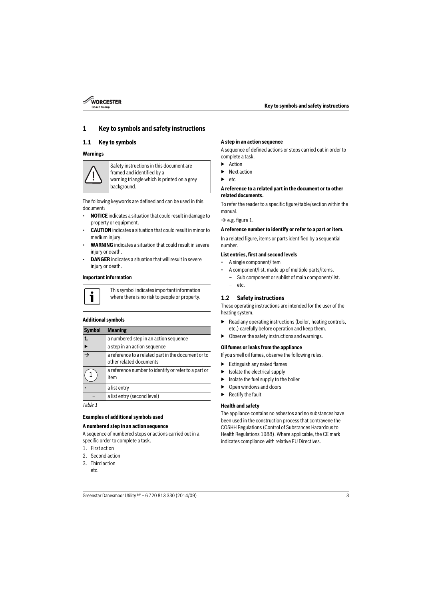

### <span id="page-2-0"></span>**1 Key to symbols and safety instructions**

### <span id="page-2-1"></span>**1.1 Key to symbols**

#### **Warnings**



Safety instructions in this document are framed and identified by a warning triangle which is printed on a grey background.

The following keywords are defined and can be used in this document:

- **NOTICE** indicates a situation that could result in damage to property or equipment.
- **CAUTION** indicates a situation that could result in minor to medium injury.
- **WARNING** indicates a situation that could result in severe injury or death.
- **DANGER** indicates a situation that will result in severe injury or death.

#### **Important information**



This symbol indicates important information where there is no risk to people or property.

#### **Additional symbols**

| <b>Symbol</b>            | <b>Meaning</b>                                                                 |
|--------------------------|--------------------------------------------------------------------------------|
| 1.                       | a numbered step in an action sequence                                          |
|                          | a step in an action sequence                                                   |
| $\overline{\rightarrow}$ | a reference to a related part in the document or to<br>other related documents |
|                          | a reference number to identify or refer to a part or<br>item                   |
|                          | a list entry                                                                   |
|                          | a list entry (second level)                                                    |

*Table 1*

#### **Examples of additional symbols used**

#### **A numbered step in an action sequence**

A sequence of numbered steps or actions carried out in a specific order to complete a task.

- 1. First action
- 2. Second action
- 3. Third action etc.

#### **A step in an action sequence**

A sequence of defined actions or steps carried out in order to complete a task.

- ▶ Action
- ▶ Next action
- ▶ etc

#### **A reference to a related part in the document or to other related documents.**

To refer the reader to a specific figure/table/section within the manual.

 $\rightarrow$  e.g. figure 1.

#### **A reference number to identify or refer to a part or item.**

In a related figure, items or parts identified by a sequential number.

#### **List entries, first and second levels**

- A single component/item
- A component/list, made up of multiple parts/items.
	- Sub component or sublist of main component/list.
	- etc.

#### <span id="page-2-2"></span>**1.2 Safety instructions**

These operating instructions are intended for the user of the heating system.

- $\blacktriangleright$  Read any operating instructions (boiler, heating controls, etc.) carefully before operation and keep them.
- Observe the safety instructions and warnings.

#### **Oil fumes or leaks from the appliance**

If you smell oil fumes, observe the following rules.

- $\blacktriangleright$  Extinguish any naked flames
- $\blacktriangleright$  Isolate the electrical supply
- $\blacktriangleright$  Isolate the fuel supply to the boiler
- ▶ Open windows and doors
- **Rectify the fault**

#### **Health and safety**

The appliance contains no asbestos and no substances have been used in the construction process that contravene the COSHH Regulations (Control of Substances Hazardous to Health Regulations 1988). Where applicable, the CE mark indicates compliance with relative EU Directives.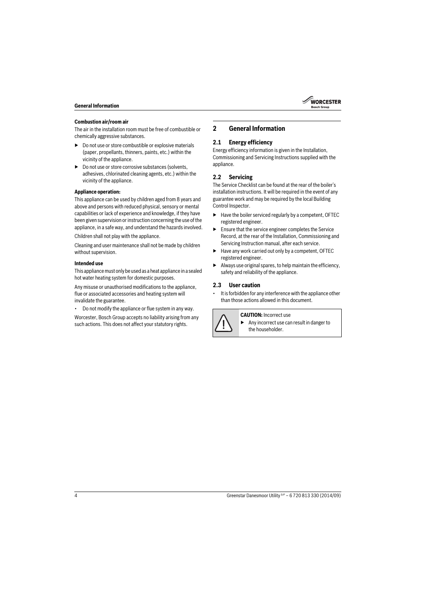

#### **Combustion air/room air**

The air in the installation room must be free of combustible or chemically aggressive substances.

- $\triangleright$  Do not use or store combustible or explosive materials (paper, propellants, thinners, paints, etc.) within the vicinity of the appliance.
- ▶ Do not use or store corrosive substances (solvents, adhesives, chlorinated cleaning agents, etc.) within the vicinity of the appliance.

#### **Appliance operation:**

This appliance can be used by children aged from 8 years and above and persons with reduced physical, sensory or mental capabilities or lack of experience and knowledge, if they have been given supervision or instruction concerning the use of the appliance, in a safe way, and understand the hazards involved.

Children shall not play with the appliance.

Cleaning and user maintenance shall not be made by children without supervision.

#### **Intended use**

This appliance must only be used as a heat appliance in a sealed hot water heating system for domestic purposes.

Any misuse or unauthorised modifications to the appliance, flue or associated accessories and heating system will invalidate the guarantee.

• Do not modify the appliance or flue system in any way.

Worcester, Bosch Group accepts no liability arising from any such actions. This does not affect your statutory rights.

### <span id="page-3-0"></span>**2 General Information**

#### <span id="page-3-1"></span>**2.1 Energy efficiency**

Energy efficiency information is given in the Installation, Commissioning and Servicing Instructions supplied with the appliance.

### <span id="page-3-2"></span>**2.2 Servicing**

The Service Checklist can be found at the rear of the boiler's installation instructions. It will be required in the event of any guarantee work and may be required by the local Building Control Inspector.

- ▶ Have the boiler serviced regularly by a competent, OFTEC registered engineer.
- Ensure that the service engineer completes the Service Record, at the rear of the Installation, Commissioning and Servicing Instruction manual, after each service.
- Have any work carried out only by a competent, OFTEC registered engineer.
- $\blacktriangleright$  Always use original spares, to help maintain the efficiency, safety and reliability of the appliance.

### <span id="page-3-3"></span>**2.3 User caution**

It is forbidden for any interference with the appliance other than those actions allowed in this document.



**CAUTION:** Incorrect use

▶ Any incorrect use can result in danger to the householder.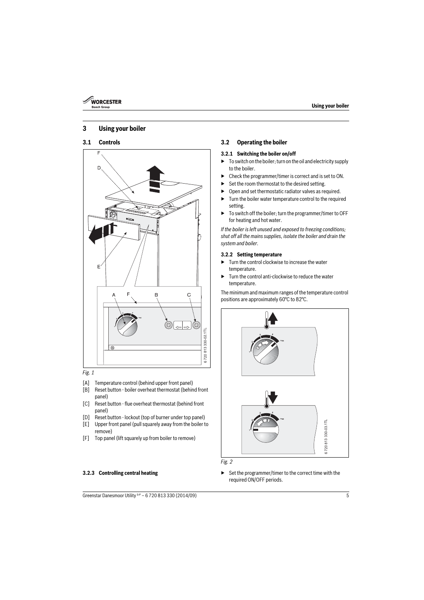

### <span id="page-4-0"></span>**3 Using your boiler**

### <span id="page-4-1"></span>**3.1 Controls**



#### *Fig. 1*

- [A] Temperature control (behind upper front panel)
- [B] Reset button boiler overheat thermostat (behind front panel)
- [C] Reset button flue overheat thermostat (behind front panel)
- [D] Reset button lockout (top of burner under top panel)
- [E] Upper front panel (pull squarely away from the boiler to remove)
- [F] Top panel (lift squarely up from boiler to remove)

### <span id="page-4-2"></span>**3.2 Operating the boiler**

#### <span id="page-4-3"></span>**3.2.1 Switching the boiler on/off**

- $\triangleright$  To switch on the boiler; turn on the oil and electricity supply to the boiler.
- ▶ Check the programmer/timer is correct and is set to ON.
- Set the room thermostat to the desired setting.
- Open and set thermostatic radiator valves as required.
- $\blacktriangleright$  Turn the boiler water temperature control to the required setting.
- ▶ To switch off the boiler: turn the programmer/timer to OFF for heating and hot water.

*If the boiler is left unused and exposed to freezing conditions; shut off all the mains supplies, isolate the boiler and drain the system and boiler.*

#### <span id="page-4-4"></span>**3.2.2 Setting temperature**

- $\blacktriangleright$  Turn the control clockwise to increase the water temperature.
- ▶ Turn the control anti-clockwise to reduce the water temperature.

The minimum and maximum ranges of the temperature control positions are approximately 60°C to 82°C.





<span id="page-4-5"></span>**3.2.3 Controlling central heating** ▶ Set the programmer/timer to the correct time with the required ON/OFF periods.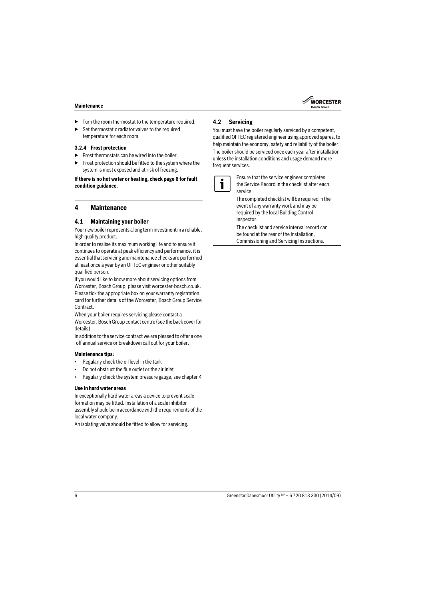

- $\blacktriangleright$  Turn the room thermostat to the temperature required.
- $\blacktriangleright$  Set thermostatic radiator valves to the required temperature for each room.

#### <span id="page-5-0"></span>**3.2.4 Frost protection**

- $\blacktriangleright$  Frost thermostats can be wired into the boiler.
- ▶ Frost protection should be fitted to the system where the system is most exposed and at risk of freezing.

#### **If there is no hot water or heating, check pag[e 6](#page-5-0) for fault condition guidance**.

### <span id="page-5-1"></span>**4 Maintenance**

### <span id="page-5-2"></span>**4.1 Maintaining your boiler**

Your new boiler represents a long term investment in a reliable, high quality product.

In order to realise its maximum working life and to ensure it continues to operate at peak efficiency and performance, it is essential that servicing and maintenance checks are performed at least once a year by an OFTEC engineer or other suitably qualified person.

If you would like to know more about servicing options from Worcester, Bosch Group, please visit worcester-bosch.co.uk. Please tick the appropriate box on your warranty registration card for further details of the Worcester, Bosch Group Service Contract.

When your boiler requires servicing please contact a Worcester, Bosch Group contact centre (see the back cover for details).

In addition to the service contract we are pleased to offer a one -off annual service or breakdown call out for your boiler.

#### **Maintenance tips:**

- Regularly check the oil level in the tank
- Do not obstruct the flue outlet or the air inlet
- Regularly check the system pressure gauge, see chapter 4

#### **Use in hard water areas**

In exceptionally hard water areas a device to prevent scale formation may be fitted. Installation of a scale inhibitor assembly should be in accordance with the requirements of the local water company.

An isolating valve should be fitted to allow for servicing.

### <span id="page-5-3"></span>**4.2 Servicing**

You must have the boiler regularly serviced by a competent, qualified OFTEC registered engineer using approved spares, to help maintain the economy, safety and reliability of the boiler.

The boiler should be serviced once each year after installation unless the installation conditions and usage demand more frequent services.



Ensure that the service engineer completes the Service Record in the checklist after each service.

The completed checklist will be required in the event of any warranty work and may be required by the local Building Control Inspector.

The checklist and service interval record can be found at the rear of the Installation, Commissioning and Servicing Instructions.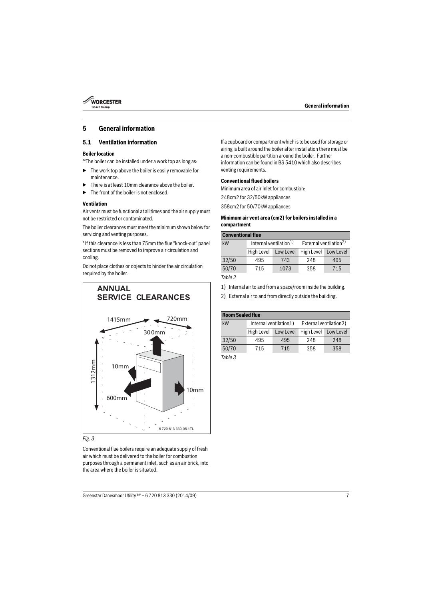

## <span id="page-6-0"></span>**5 General information**

### <span id="page-6-1"></span>**5.1 Ventilation information**

#### **Boiler location**

\*\*The boiler can be installed under a work top as long as:

- $\blacktriangleright$  The work top above the boiler is easily removable for maintenance.
- There is at least 10mm clearance above the boiler.
- ▶ The front of the boiler is not enclosed.

#### **Ventilation**

Air vents must be functional at all times and the air supply must not be restricted or contaminated.

The boiler clearances must meet the minimum shown below for servicing and venting purposes.

\* If this clearance is less than 75mm the flue "knock-out" panel sections must be removed to improve air circulation and cooling.

Do not place clothes or objects to hinder the air circulation required by the boiler.



#### *Fig. 3*

Conventional flue boilers require an adequate supply of fresh air which must be delivered to the boiler for combustion purposes through a permanent inlet, such as an air brick, into the area where the boiler is situated.

If a cupboard or compartment which is to be used for storage or airing is built around the boiler after installation there must be a non-combustible partition around the boiler. Further information can be found in BS 5410 which also describes venting requirements.

#### **Conventional flued boilers**

Minimum area of air inlet for combustion:

248cm2 for 32/50kW appliances

358cm2 for 50/70kW appliances

#### **Minimum air vent area (cm2) for boilers installed in a compartment**

| <b>Conventional flue</b> |                                    |           |                                    |           |
|--------------------------|------------------------------------|-----------|------------------------------------|-----------|
| kW                       | Internal ventilation <sup>1)</sup> |           | External ventilation <sup>2)</sup> |           |
|                          | High Level                         | Low Level | High Level                         | Low Level |
| 32/50                    | 495                                | 743       | 248                                | 495       |
| 50/70                    | 715                                | 1073      | 358                                | 715       |

*Table 2*

- 1) Internal air to and from a space/room inside the building.
- 2) External air to and from directly outside the building.

| <b>Room Sealed flue</b> |                        |           |                        |           |
|-------------------------|------------------------|-----------|------------------------|-----------|
| kW                      | Internal ventilation1) |           | External ventilation2) |           |
|                         | High Level             | Low Level | High Level             | Low Level |
| 32/50                   | 495                    | 495       | 248                    | 248       |
| 50/70                   | 715                    | 715       | 358                    | 358       |

*Table 3*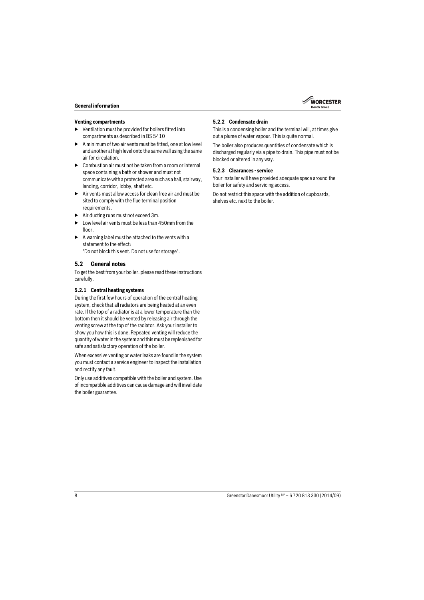

#### **Venting compartments**

- ▶ Ventilation must be provided for boilers fitted into compartments as described in BS 5410
- $\blacktriangleright$  A minimum of two air vents must be fitted, one at low level and another at high level onto the same wall using the same air for circulation.
- ▶ Combustion air must not be taken from a room or internal space containing a bath or shower and must not communicate with a protected area such as a hall, stairway, landing, corridor, lobby, shaft etc.
- ▶ Air vents must allow access for clean free air and must be sited to comply with the flue terminal position requirements.
- ▶ Air ducting runs must not exceed 3m.
- $\blacktriangleright$  Low level air vents must be less than 450mm from the floor
- $\blacktriangleright$  A warning label must be attached to the vents with a statement to the effect:

"Do not block this vent. Do not use for storage".

### <span id="page-7-0"></span>**5.2 General notes**

To get the best from your boiler. please read these instructions carefully.

#### <span id="page-7-1"></span>**5.2.1 Central heating systems**

During the first few hours of operation of the central heating system, check that all radiators are being heated at an even rate. If the top of a radiator is at a lower temperature than the bottom then it should be vented by releasing air through the venting screw at the top of the radiator. Ask your installer to show you how this is done. Repeated venting will reduce the quantity of water in the system and this must be replenished for safe and satisfactory operation of the boiler.

When excessive venting or water leaks are found in the system you must contact a service engineer to inspect the installation and rectify any fault.

Only use additives compatible with the boiler and system. Use of incompatible additives can cause damage and will invalidate the boiler guarantee.

#### <span id="page-7-2"></span>**5.2.2 Condensate drain**

This is a condensing boiler and the terminal will, at times give out a plume of water vapour. This is quite normal.

The boiler also produces quantities of condensate which is discharged regularly via a pipe to drain. This pipe must not be blocked or altered in any way.

#### <span id="page-7-3"></span>**5.2.3 Clearances - service**

Your installer will have provided adequate space around the boiler for safety and servicing access.

Do not restrict this space with the addition of cupboards, shelves etc. next to the boiler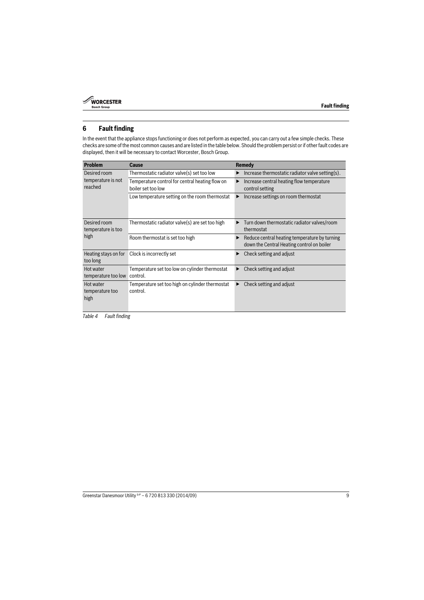

### <span id="page-8-0"></span>**6 Fault finding**

In the event that the appliance stops functioning or does not perform as expected, you can carry out a few simple checks. These checks are some of the most common causes and are listed in the table below. Should the problem persist or if other fault codes are displayed, then it will be necessary to contact Worcester, Bosch Group.

| <b>Problem</b>                       | Cause                                                                 | Remedy                                                                                           |
|--------------------------------------|-----------------------------------------------------------------------|--------------------------------------------------------------------------------------------------|
| Desired room                         | Thermostatic radiator valve(s) set too low                            | Increase thermostatic radiator valve setting(s).<br>▶                                            |
| temperature is not<br>reached        | Temperature control for central heating flow on<br>boiler set too low | Increase central heating flow temperature<br>▶<br>control setting                                |
|                                      | Low temperature setting on the room thermostat                        | Increase settings on room thermostat<br>▶                                                        |
| Desired room<br>temperature is too   | Thermostatic radiator valve(s) are set too high                       | Turn down thermostatic radiator valves/room<br>thermostat                                        |
| high                                 | Room thermostat is set too high                                       | Reduce central heating temperature by turning<br>▶<br>down the Central Heating control on boiler |
| Heating stays on for<br>too long     | Clock is incorrectly set                                              | Check setting and adjust                                                                         |
| Hot water<br>temperature too low     | Temperature set too low on cylinder thermostat<br>control.            | Check setting and adjust<br>▶                                                                    |
| Hot water<br>temperature too<br>high | Temperature set too high on cylinder thermostat<br>control.           | Check setting and adjust                                                                         |

*Table 4 Fault finding*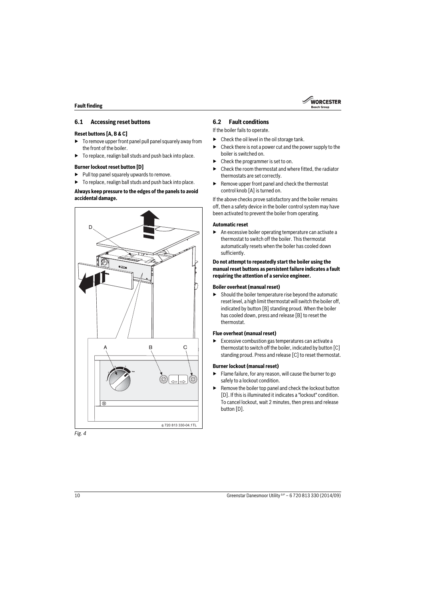

### <span id="page-9-0"></span>**6.1 Accessing reset buttons**

#### **Reset buttons [A, B & C]**

- $\triangleright$  To remove upper front panel pull panel squarely away from the front of the boiler.
- $\blacktriangleright$  To replace, realign ball studs and push back into place.

#### **Burner lockout reset button [D]**

- $\blacktriangleright$  Pull top panel squarely upwards to remove.
- To replace, realign ball studs and push back into place.

#### **Always keep pressure to the edges of the panels to avoid accidental damage.**



### <span id="page-9-1"></span>**6.2 Fault conditions**

If the boiler fails to operate.

- $\blacktriangleright$  Check the oil level in the oil storage tank.
- $\triangleright$  Check there is not a power cut and the power supply to the boiler is switched on.
- Check the programmer is set to on.
- $\blacktriangleright$  Check the room thermostat and where fitted, the radiator thermostats are set correctly.
- $\blacktriangleright$  Remove upper front panel and check the thermostat control knob [A] is turned on.

If the above checks prove satisfactory and the boiler remains off, then a safety device in the boiler control system may have been activated to prevent the boiler from operating.

#### **Automatic reset**

 $\blacktriangleright$  An excessive boiler operating temperature can activate a thermostat to switch off the boiler. This thermostat automatically resets when the boiler has cooled down sufficiently.

#### **Do not attempt to repeatedly start the boiler using the manual reset buttons as persistent failure indicates a fault requiring the attention of a service engineer.**

#### **Boiler overheat (manual reset)**

 $\blacktriangleright$  Should the boiler temperature rise beyond the automatic reset level, a high limit thermostat will switch the boiler off, indicated by button [B] standing proud. When the boiler has cooled down, press and release [B] to reset the thermostat.

#### **Flue overheat (manual reset)**

 $\blacktriangleright$  Excessive combustion gas temperatures can activate a thermostat to switch off the boiler, indicated by button [C] standing proud. Press and release [C] to reset thermostat.

#### **Burner lockout (manual reset)**

- $\blacktriangleright$  Flame failure, for any reason, will cause the burner to go safely to a lockout condition.
- Remove the boiler top panel and check the lockout button [D]. If this is illuminated it indicates a "lockout" condition. To cancel lockout, wait 2 minutes, then press and release button [D].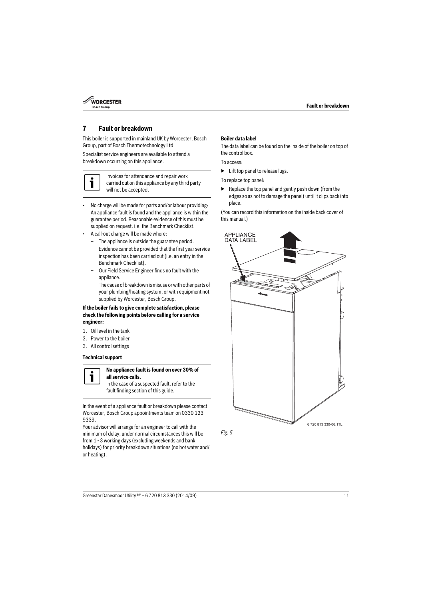

### <span id="page-10-0"></span>**7 Fault or breakdown**

This boiler is supported in mainland UK by Worcester, Bosch Group, part of Bosch Thermotechnology Ltd.

Specialist service engineers are available to attend a breakdown occurring on this appliance.



Invoices for attendance and repair work carried out on this appliance by any third party will not be accepted.

- No charge will be made for parts and/or labour providing: An appliance fault is found and the appliance is within the guarantee period. Reasonable evidence of this must be supplied on request. i.e. the Benchmark Checklist.
- A call-out charge will be made where:
	- The appliance is outside the guarantee period.
	- Evidence cannot be provided that the first year service inspection has been carried out (i.e. an entry in the Benchmark Checklist).
	- Our Field Service Engineer finds no fault with the appliance.
	- The cause of breakdown is misuse or with other parts of your plumbing/heating system, or with equipment not supplied by Worcester, Bosch Group.

#### **If the boiler fails to give complete satisfaction, please check the following points before calling for a service engineer:**

- 1. Oil level in the tank
- 2. Power to the boiler
- 3. All control settings

#### **Technical support**



#### **No appliance fault is found on over 30% of all service calls.**

In the case of a suspected fault, refer to the fault finding section of this guide.

In the event of a appliance fault or breakdown please contact Worcester, Bosch Group appointments team on 0330 123 9339.

Your advisor will arrange for an engineer to call with the minimum of delay; under normal circumstances this will be from 1 - 3 working days (excluding weekends and bank holidays) for priority breakdown situations (no hot water and/ or heating).

#### **Boiler data label**

The data label can be found on the inside of the boiler on top of the control box.

To access:

 $\blacktriangleright$  Lift top panel to release lugs.

To replace top panel:

Replace the top panel and gently push down (from the edges so as not to damage the panel) until it clips back into place.

(You can record this information on the inside back cover of this manual.)



*Fig. 5*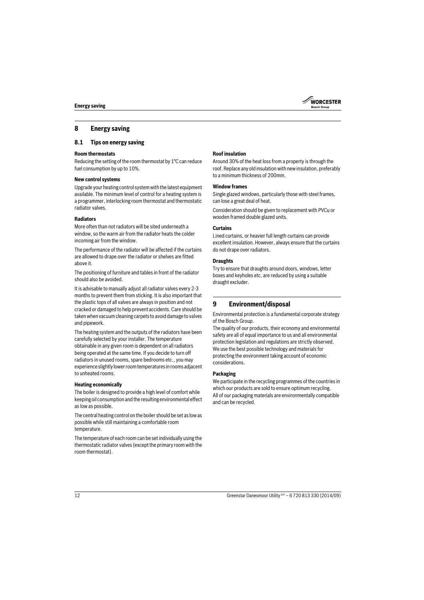### <span id="page-11-0"></span>**8 Energy saving**

### <span id="page-11-1"></span>**8.1 Tips on energy saving**

#### **Room thermostats**

Reducing the setting of the room thermostat by 1°C can reduce fuel consumption by up to 10%.

#### **New control systems**

Upgrade your heating control system with the latest equipment available. The minimum level of control for a heating system is a programmer, interlocking room thermostat and thermostatic radiator valves.

#### **Radiators**

More often than not radiators will be sited underneath a window, so the warm air from the radiator heats the colder incoming air from the window.

The performance of the radiator will be affected if the curtains are allowed to drape over the radiator or shelves are fitted above it.

The positioning of furniture and tables in front of the radiator should also be avoided.

It is advisable to manually adjust all radiator valves every 2-3 months to prevent them from sticking. It is also important that the plastic tops of all valves are always in position and not cracked or damaged to help prevent accidents. Care should be taken when vacuum cleaning carpets to avoid damage to valves and pipework.

The heating system and the outputs of the radiators have been carefully selected by your installer. The temperature obtainable in any given room is dependent on all radiators being operated at the same time. If you decide to turn off radiators in unused rooms, spare bedrooms etc., you may experience slightly lower room temperatures in rooms adjacent to unheated rooms.

#### **Heating economically**

The boiler is designed to provide a high level of comfort while keeping oil consumption and the resulting environmental effect as low as possible.

The central heating control on the boiler should be set as low as possible while still maintaining a comfortable room temperature.

The temperature of each room can be set individually using the thermostatic radiator valves (except the primary room with the room thermostat).

#### **Roof insulation**

Around 30% of the heat loss from a property is through the roof. Replace any old insulation with new insulation, preferably to a minimum thickness of 200mm.

#### **Window frames**

Single glazed windows, particularly those with steel frames, can lose a great deal of heat.

Consideration should be given to replacement with PVCu or wooden framed double glazed units.

#### **Curtains**

Lined curtains, or heavier full length curtains can provide excellent insulation. However, always ensure that the curtains do not drape over radiators.

#### **Draughts**

Try to ensure that draughts around doors, windows, letter boxes and keyholes etc. are reduced by using a suitable draught excluder.

### <span id="page-11-2"></span>**9 Environment/disposal**

Environmental protection is a fundamental corporate strategy of the Bosch Group.

The quality of our products, their economy and environmental safety are all of equal importance to us and all environmental protection legislation and regulations are strictly observed. We use the best possible technology and materials for protecting the environment taking account of economic considerations.

#### **Packaging**

We participate in the recycling programmes of the countries in which our products are sold to ensure optimum recycling. All of our packaging materials are environmentally compatible and can be recycled.

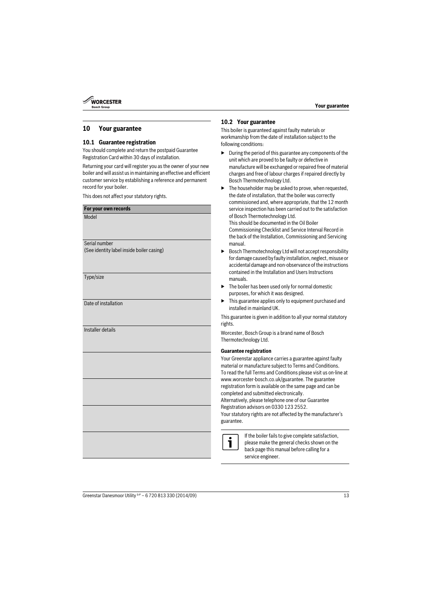

### <span id="page-12-0"></span>**10 Your guarantee**

### <span id="page-12-1"></span>**10.1 Guarantee registration**

You should complete and return the postpaid Guarantee Registration Card within 30 days of installation.

Returning your card will register you as the owner of your new boiler and will assist us in maintaining an effective and efficient customer service by establishing a reference and permanent record for your boiler.

This does not affect your statutory rights.

| For your own records                      |
|-------------------------------------------|
| Model                                     |
|                                           |
|                                           |
| Serial number                             |
| (See identity label inside boiler casing) |
|                                           |
|                                           |
| Type/size                                 |
|                                           |
|                                           |
| Date of installation                      |
|                                           |
|                                           |
| Installer details                         |
|                                           |
|                                           |
|                                           |
|                                           |
|                                           |
|                                           |
|                                           |
|                                           |
|                                           |
|                                           |
|                                           |
|                                           |
|                                           |
|                                           |
|                                           |

### <span id="page-12-2"></span>**10.2 Your guarantee**

This boiler is guaranteed against faulty materials or workmanship from the date of installation subject to the following conditions:

- $\blacktriangleright$  During the period of this guarantee any components of the unit which are proved to be faulty or defective in manufacture will be exchanged or repaired free of material charges and free of labour charges if repaired directly by Bosch Thermotechnology Ltd.
- The householder may be asked to prove, when requested, the date of installation, that the boiler was correctly commissioned and, where appropriate, that the 12 month service inspection has been carried out to the satisfaction of Bosch Thermotechnology Ltd. This should be documented in the Oil Boiler

Commissioning Checklist and Service Interval Record in the back of the Installation, Commissioning and Servicing manual.

- ▶ Bosch Thermotechnology Ltd will not accept responsibility for damage caused by faulty installation, neglect, misuse or accidental damage and non-observance of the instructions contained in the Installation and Users Instructions manuals.
- $\blacktriangleright$  The boiler has been used only for normal domestic purposes, for which it was designed.
- $\blacktriangleright$  This guarantee applies only to equipment purchased and installed in mainland UK.

This guarantee is given in addition to all your normal statutory rights.

Worcester, Bosch Group is a brand name of Bosch Thermotechnology Ltd.

#### **Guarantee registration**

Your Greenstar appliance carries a guarantee against faulty material or manufacture subject to Terms and Conditions. To read the full Terms and Conditions please visit us on-line at www.worcester-bosch.co.uk/guarantee. The guarantee registration form is available on the same page and can be completed and submitted electronically.

Alternatively, please telephone one of our Guarantee Registration advisors on 0330 123 2552.

Your statutory rights are not affected by the manufacturer's guarantee.



If the boiler fails to give complete satisfaction, please make the general checks shown on the back page this manual before calling for a service engineer.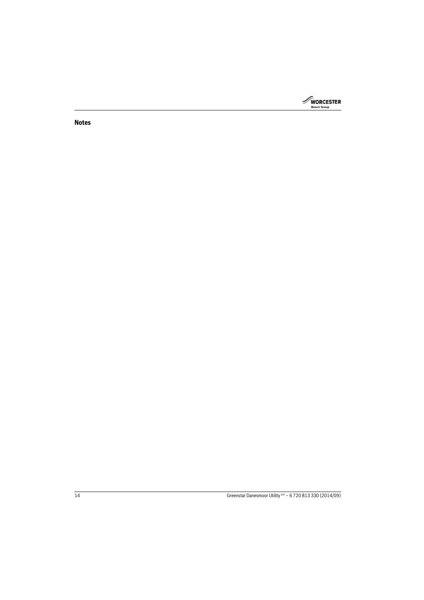

**Notes**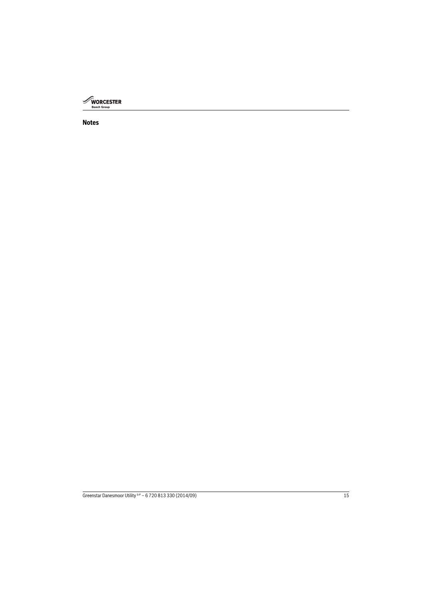

### **Notes**